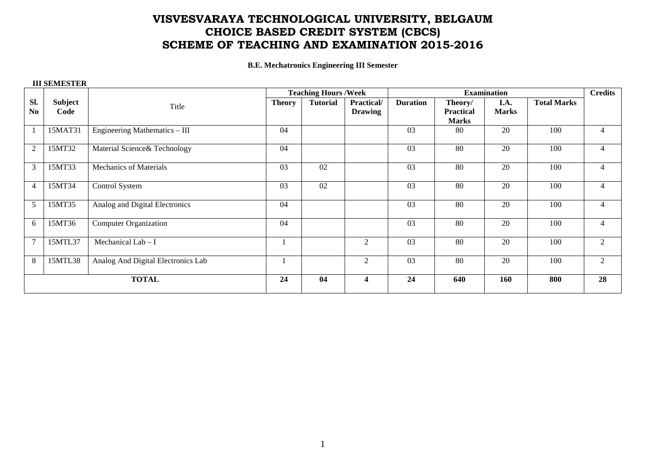## **VISVESVARAYA TECHNOLOGICAL UNIVERSITY, BELGAUM CHOICE BASED CREDIT SYSTEM (CBCS) SCHEME OF TEACHING AND EXAMINATION 2015-2016**

**B.E. Mechatronics Engineering III Semester** 

## **III SEMESTER**

|                |         |                                    | <b>Teaching Hours /Week</b> |                 |                   | <b>Examination</b> |                  |              |                    | <b>Credits</b> |
|----------------|---------|------------------------------------|-----------------------------|-----------------|-------------------|--------------------|------------------|--------------|--------------------|----------------|
| SI.            | Subject | Title                              | <b>Theory</b>               | <b>Tutorial</b> | <b>Practical/</b> | <b>Duration</b>    | Theory/          | I.A.         | <b>Total Marks</b> |                |
| N <sub>0</sub> | Code    |                                    |                             |                 | <b>Drawing</b>    |                    | <b>Practical</b> | <b>Marks</b> |                    |                |
|                |         |                                    |                             |                 |                   |                    | <b>Marks</b>     |              |                    |                |
|                | 15MAT31 | Engineering Mathematics $-$ III    | 04                          |                 |                   | 03                 | 80               | 20           | 100                | 4              |
| $\overline{2}$ | 15MT32  | Material Science& Technology       | 04                          |                 |                   | 03                 | 80               | 20           | 100                | $\overline{4}$ |
| 3              | 15MT33  | <b>Mechanics of Materials</b>      | 03                          | 02              |                   | 03                 | 80               | 20           | 100                | 4              |
| $\overline{4}$ | 15MT34  | Control System                     | 03                          | 02              |                   | 03                 | 80               | 20           | 100                | 4              |
| 5              | 15MT35  | Analog and Digital Electronics     | 04                          |                 |                   | 03                 | 80               | 20           | 100                | $\overline{4}$ |
| 6              | 15MT36  | <b>Computer Organization</b>       | 04                          |                 |                   | 03                 | 80               | 20           | 100                | 4              |
| $\overline{7}$ | 15MTL37 | Mechanical Lab - I                 |                             |                 | 2                 | 03                 | 80               | 20           | 100                | 2              |
| 8              | 15MTL38 | Analog And Digital Electronics Lab |                             |                 | 2                 | 03                 | 80               | 20           | 100                | 2              |
| <b>TOTAL</b>   |         |                                    | 24                          | 04              | 4                 | 24                 | 640              | 160          | 800                | 28             |